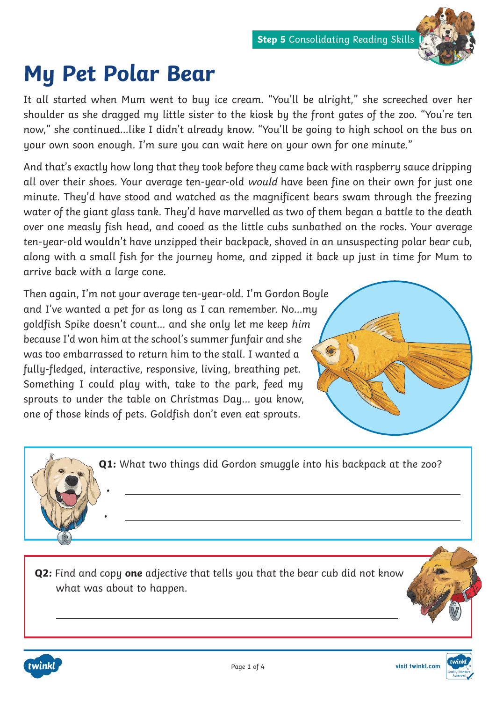

## **My Pet Polar Bear**

It all started when Mum went to buy ice cream. "You'll be alright," she screeched over her shoulder as she dragged my little sister to the kiosk by the front gates of the zoo. "You're ten now," she continued...like I didn't already know. "You'll be going to high school on the bus on your own soon enough. I'm sure you can wait here on your own for one minute."

And that's exactly how long that they took before they came back with raspberry sauce dripping all over their shoes. Your average ten-year-old would have been fine on their own for just one minute. They'd have stood and watched as the magnificent bears swam through the freezing water of the giant glass tank. They'd have marvelled as two of them began a battle to the death over one measly fish head, and cooed as the little cubs sunbathed on the rocks. Your average ten-year-old wouldn't have unzipped their backpack, shoved in an unsuspecting polar bear cub, along with a small fish for the journey home, and zipped it back up just in time for Mum to arrive back with a large cone.

Then again, I'm not your average ten-year-old. I'm Gordon Boyle and I've wanted a pet for as long as I can remember. No...my goldfish Spike doesn't count... and she only let me keep him because I'd won him at the school's summer funfair and she was too embarrassed to return him to the stall. I wanted a fully-fledged, interactive, responsive, living, breathing pet. Something I could play with, take to the park, feed my sprouts to under the table on Christmas Day... you know, one of those kinds of pets. Goldfish don't even eat sprouts.

•

•

**Q1:** What two things did Gordon smuggle into his backpack at the zoo?

**Q2:** Find and copy **one** adjective that tells you that the bear cub did not know what was about to happen.





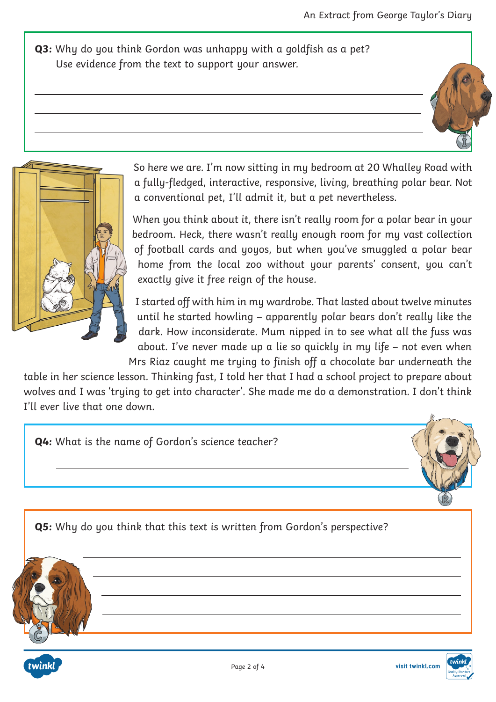**Q3:** Why do you think Gordon was unhappy with a goldfish as a pet? Use evidence from the text to support your answer.



So here we are. I'm now sitting in my bedroom at 20 Whalley Road with a fully-fledged, interactive, responsive, living, breathing polar bear. Not a conventional pet, I'll admit it, but a pet nevertheless.

When you think about it, there isn't really room for a polar bear in your bedroom. Heck, there wasn't really enough room for my vast collection of football cards and yoyos, but when you've smuggled a polar bear home from the local zoo without your parents' consent, you can't exactly give it free reign of the house.

I started off with him in my wardrobe. That lasted about twelve minutes until he started howling – apparently polar bears don't really like the dark. How inconsiderate. Mum nipped in to see what all the fuss was about. I've never made up a lie so quickly in my life – not even when Mrs Riaz caught me trying to finish off a chocolate bar underneath the

table in her science lesson. Thinking fast, I told her that I had a school project to prepare about wolves and I was 'trying to get into character'. She made me do a demonstration. I don't think I'll ever live that one down.

**Q4:** What is the name of Gordon's science teacher? **Q5:** Why do you think that this text is written from Gordon's perspective?



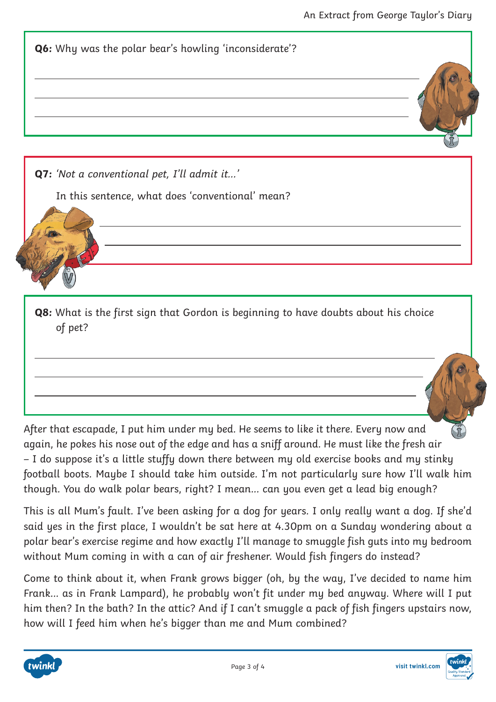

of pet?

After that escapade, I put him under my bed. He seems to like it there. Every now and again, he pokes his nose out of the edge and has a sniff around. He must like the fresh air – I do suppose it's a little stuffy down there between my old exercise books and my stinky football boots. Maybe I should take him outside. I'm not particularly sure how I'll walk him though. You do walk polar bears, right? I mean... can you even get a lead big enough?

This is all Mum's fault. I've been asking for a dog for years. I only really want a dog. If she'd said yes in the first place, I wouldn't be sat here at 4.30pm on a Sunday wondering about a polar bear's exercise regime and how exactly I'll manage to smuggle fish guts into my bedroom without Mum coming in with a can of air freshener. Would fish fingers do instead?

Come to think about it, when Frank grows bigger (oh, by the way, I've decided to name him Frank... as in Frank Lampard), he probably won't fit under my bed anyway. Where will I put him then? In the bath? In the attic? And if I can't smuggle a pack of fish fingers upstairs now, how will I feed him when he's bigger than me and Mum combined?

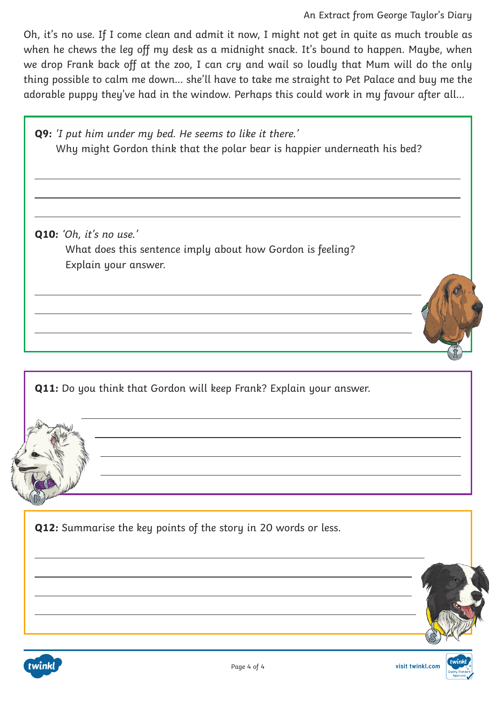Oh, it's no use. If I come clean and admit it now, I might not get in quite as much trouble as when he chews the leg off my desk as a midnight snack. It's bound to happen. Maybe, when we drop Frank back off at the zoo, I can cry and wail so loudly that Mum will do the only thing possible to calm me down... she'll have to take me straight to Pet Palace and buy me the adorable puppy they've had in the window. Perhaps this could work in my favour after all...



**Q12:** Summarise the key points of the story in 20 words or less.

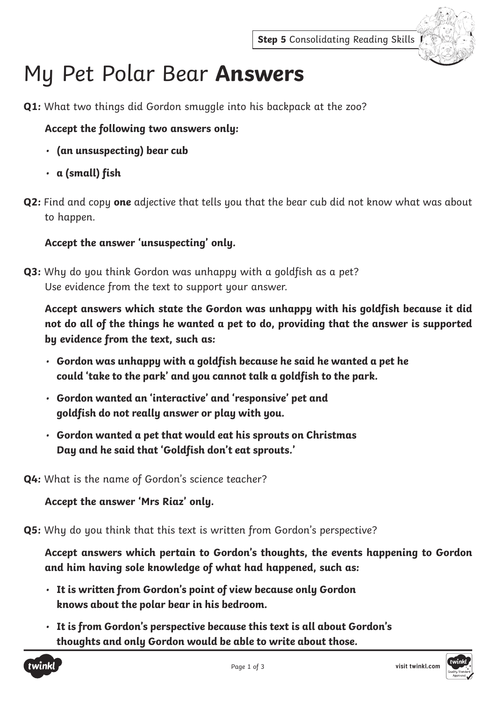

## My Pet Polar Bear **Answers**

**Q1:** What two things did Gordon smuggle into his backpack at the zoo?

## **Accept the following two answers only:**

- **(an unsuspecting) bear cub**
- **a (small) fish**
- **Q2:** Find and copy **one** adjective that tells you that the bear cub did not know what was about to happen.

## **Accept the answer 'unsuspecting' only.**

**Q3:** Why do you think Gordon was unhappy with a goldfish as a pet? Use evidence from the text to support your answer.

**Accept answers which state the Gordon was unhappy with his goldfish because it did not do all of the things he wanted a pet to do, providing that the answer is supported by evidence from the text, such as:**

- **Gordon was unhappy with a goldfish because he said he wanted a pet he could 'take to the park' and you cannot talk a goldfish to the park.**
- **Gordon wanted an 'interactive' and 'responsive' pet and goldfish do not really answer or play with you.**
- **Gordon wanted a pet that would eat his sprouts on Christmas Day and he said that 'Goldfish don't eat sprouts.'**

**Q4:** What is the name of Gordon's science teacher?

**Accept the answer 'Mrs Riaz' only.**

**Q5:** Why do you think that this text is written from Gordon's perspective?

**Accept answers which pertain to Gordon's thoughts, the events happening to Gordon and him having sole knowledge of what had happened, such as:**

- **It is written from Gordon's point of view because only Gordon knows about the polar bear in his bedroom.**
- **It is from Gordon's perspective because this text is all about Gordon's thoughts and only Gordon would be able to write about those.**



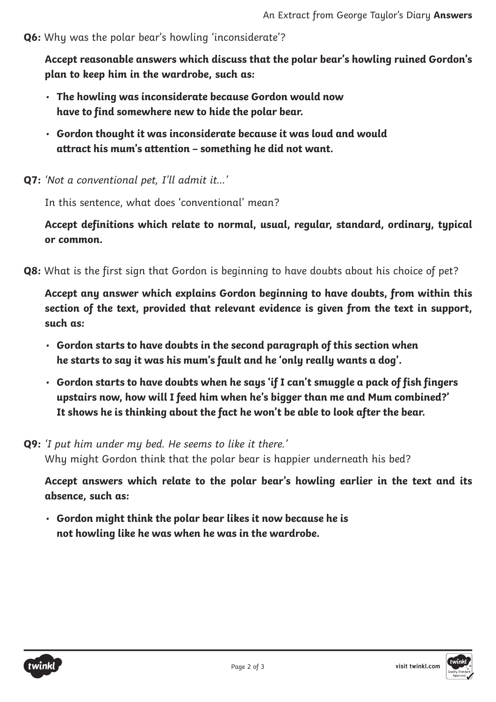**Q6:** Why was the polar bear's howling 'inconsiderate'?

**Accept reasonable answers which discuss that the polar bear's howling ruined Gordon's plan to keep him in the wardrobe, such as:**

- **The howling was inconsiderate because Gordon would now have to find somewhere new to hide the polar bear.**
- **Gordon thought it was inconsiderate because it was loud and would attract his mum's attention – something he did not want.**
- **Q7:** 'Not a conventional pet, I'll admit it...'

In this sentence, what does 'conventional' mean?

**Accept definitions which relate to normal, usual, regular, standard, ordinary, typical or common.**

**Q8:** What is the first sign that Gordon is beginning to have doubts about his choice of pet?

**Accept any answer which explains Gordon beginning to have doubts, from within this section of the text, provided that relevant evidence is given from the text in support, such as:** 

- **Gordon starts to have doubts in the second paragraph of this section when he starts to say it was his mum's fault and he 'only really wants a dog'.**
- **Gordon starts to have doubts when he says 'if I can't smuggle a pack of fish fingers upstairs now, how will I feed him when he's bigger than me and Mum combined?' It shows he is thinking about the fact he won't be able to look after the bear.**

**Q9:** 'I put him under my bed. He seems to like it there.' Why might Gordon think that the polar bear is happier underneath his bed?

**Accept answers which relate to the polar bear's howling earlier in the text and its absence, such as:**

• **Gordon might think the polar bear likes it now because he is not howling like he was when he was in the wardrobe.**